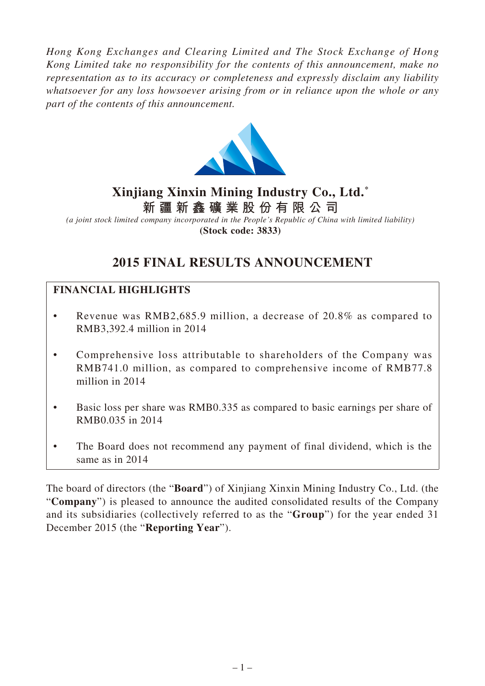*Hong Kong Exchanges and Clearing Limited and The Stock Exchange of Hong Kong Limited take no responsibility for the contents of this announcement, make no representation as to its accuracy or completeness and expressly disclaim any liability whatsoever for any loss howsoever arising from or in reliance upon the whole or any part of the contents of this announcement.*



# **Xinjiang Xinxin Mining Industry Co., Ltd. \* 新 疆 新 鑫 礦 業 股 份 有 限 公 司**

*(a joint stock limited company incorporated in the People's Republic of China with limited liability)* **(Stock code: 3833)**

# **2015 FINAL RESULTS ANNOUNCEMENT**

# **FINANCIAL HIGHLIGHTS**

- Revenue was RMB2,685.9 million, a decrease of 20.8% as compared to RMB3,392.4 million in 2014
- Comprehensive loss attributable to shareholders of the Company was RMB741.0 million, as compared to comprehensive income of RMB77.8 million in 2014
- Basic loss per share was RMB0.335 as compared to basic earnings per share of RMB0.035 in 2014
- The Board does not recommend any payment of final dividend, which is the same as in 2014

The board of directors (the "**Board**") of Xinjiang Xinxin Mining Industry Co., Ltd. (the "**Company**") is pleased to announce the audited consolidated results of the Company and its subsidiaries (collectively referred to as the "**Group**") for the year ended 31 December 2015 (the "**Reporting Year**").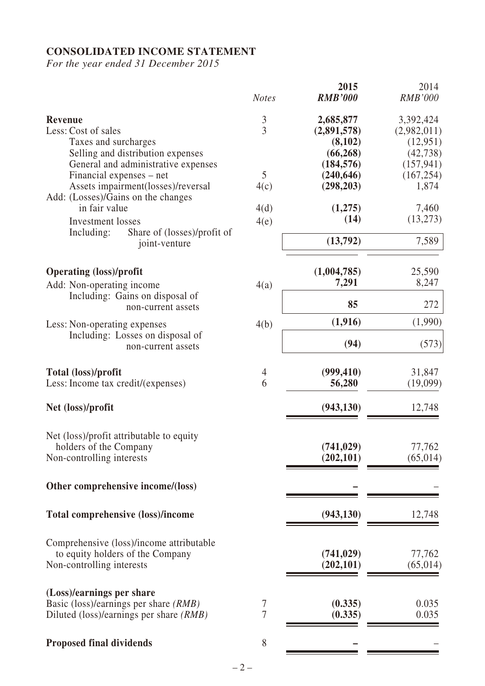# **CONSOLIDATED INCOME STATEMENT**

*For the year ended 31 December 2015*

|                                                                                                                                            | <b>Notes</b>              | 2015<br><b>RMB'000</b>                                         | 2014<br><b>RMB'000</b>                                          |
|--------------------------------------------------------------------------------------------------------------------------------------------|---------------------------|----------------------------------------------------------------|-----------------------------------------------------------------|
| <b>Revenue</b><br>Less: Cost of sales<br>Taxes and surcharges<br>Selling and distribution expenses<br>General and administrative expenses  | $\frac{3}{3}$             | 2,685,877<br>(2,891,578)<br>(8,102)<br>(66, 268)<br>(184, 576) | 3,392,424<br>(2,982,011)<br>(12,951)<br>(42, 738)<br>(157, 941) |
| Financial expenses – net<br>Assets impairment(losses)/reversal<br>Add: (Losses)/Gains on the changes<br>in fair value<br>Investment losses | 5<br>4(c)<br>4(d)<br>4(e) | (240, 646)<br>(298, 203)<br>(1,275)<br>(14)                    | (167, 254)<br>1,874<br>7,460<br>(13,273)                        |
| Share of (losses)/profit of<br>Including:<br>joint-venture                                                                                 |                           | (13,792)                                                       | 7,589                                                           |
| <b>Operating (loss)/profit</b><br>Add: Non-operating income                                                                                | 4(a)                      | (1,004,785)<br>7,291                                           | 25,590<br>8,247                                                 |
| Including: Gains on disposal of<br>non-current assets                                                                                      |                           | 85                                                             | 272                                                             |
| Less: Non-operating expenses<br>Including: Losses on disposal of<br>non-current assets                                                     | 4(b)                      | (1,916)<br>(94)                                                | (1,990)<br>(573)                                                |
| Total (loss)/profit<br>Less: Income tax credit/(expenses)                                                                                  | $\overline{4}$<br>6       | (999, 410)<br>56,280                                           | 31,847<br>(19,099)                                              |
| Net (loss)/profit                                                                                                                          |                           | (943, 130)                                                     | 12,748                                                          |
| Net (loss)/profit attributable to equity<br>holders of the Company<br>Non-controlling interests                                            |                           | (741, 029)<br>(202, 101)                                       | 77,762<br>(65, 014)                                             |
| Other comprehensive income/(loss)                                                                                                          |                           |                                                                |                                                                 |
| <b>Total comprehensive (loss)/income</b>                                                                                                   |                           | (943, 130)                                                     | 12,748                                                          |
| Comprehensive (loss)/income attributable<br>to equity holders of the Company<br>Non-controlling interests                                  |                           | (741, 029)<br>(202, 101)                                       | 77,762<br>(65, 014)                                             |
| (Loss)/earnings per share<br>Basic (loss)/earnings per share (RMB)<br>Diluted (loss)/earnings per share (RMB)                              | 7<br>7                    | (0.335)<br>(0.335)                                             | 0.035<br>0.035                                                  |
| <b>Proposed final dividends</b>                                                                                                            | 8                         |                                                                |                                                                 |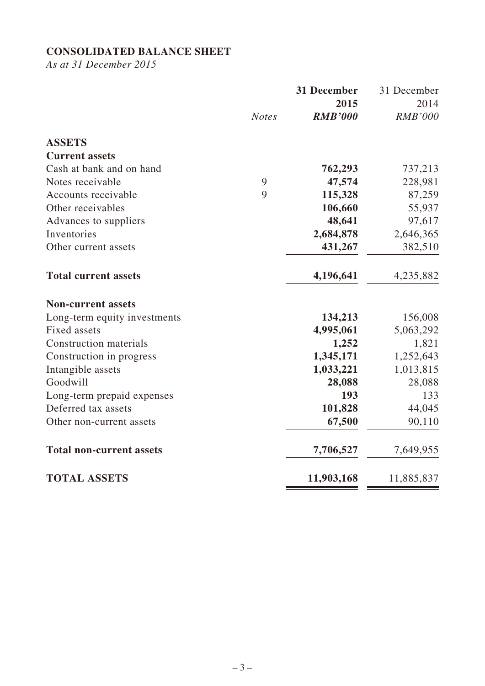# **CONSOLIDATED BALANCE SHEET**

*As at 31 December 2015*

|                                 |              | 31 December    | 31 December    |
|---------------------------------|--------------|----------------|----------------|
|                                 |              | 2015           | 2014           |
|                                 | <b>Notes</b> | <b>RMB'000</b> | <b>RMB'000</b> |
| <b>ASSETS</b>                   |              |                |                |
| <b>Current assets</b>           |              |                |                |
| Cash at bank and on hand        |              | 762,293        | 737,213        |
| Notes receivable                | 9            | 47,574         | 228,981        |
| Accounts receivable             | 9            | 115,328        | 87,259         |
| Other receivables               |              | 106,660        | 55,937         |
| Advances to suppliers           |              | 48,641         | 97,617         |
| Inventories                     |              | 2,684,878      | 2,646,365      |
| Other current assets            |              | 431,267        | 382,510        |
| <b>Total current assets</b>     |              | 4,196,641      | 4,235,882      |
| <b>Non-current assets</b>       |              |                |                |
| Long-term equity investments    |              | 134,213        | 156,008        |
| <b>Fixed assets</b>             |              | 4,995,061      | 5,063,292      |
| <b>Construction materials</b>   |              | 1,252          | 1,821          |
| Construction in progress        |              | 1,345,171      | 1,252,643      |
| Intangible assets               |              | 1,033,221      | 1,013,815      |
| Goodwill                        |              | 28,088         | 28,088         |
| Long-term prepaid expenses      |              | 193            | 133            |
| Deferred tax assets             |              | 101,828        | 44,045         |
| Other non-current assets        |              | 67,500         | 90,110         |
| <b>Total non-current assets</b> |              | 7,706,527      | 7,649,955      |
| <b>TOTAL ASSETS</b>             |              | 11,903,168     | 11,885,837     |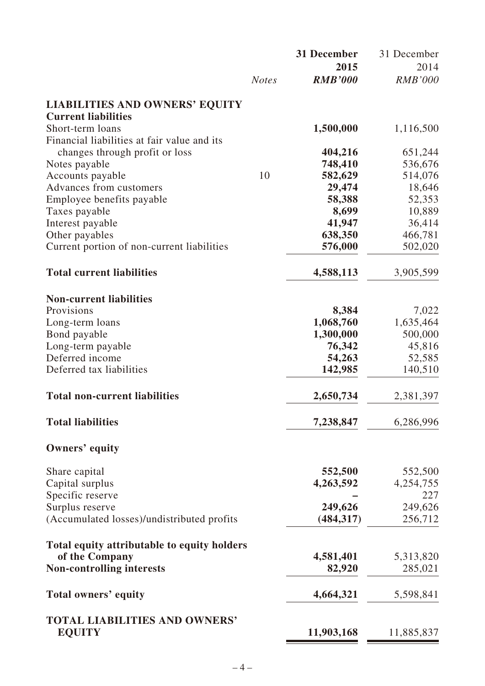|                                                               |              | 31 December    | 31 December          |
|---------------------------------------------------------------|--------------|----------------|----------------------|
|                                                               |              | 2015           | 2014                 |
|                                                               | <b>Notes</b> | <b>RMB'000</b> | <b>RMB'000</b>       |
| <b>LIABILITIES AND OWNERS' EQUITY</b>                         |              |                |                      |
| <b>Current liabilities</b>                                    |              |                |                      |
| Short-term loans                                              |              | 1,500,000      | 1,116,500            |
| Financial liabilities at fair value and its                   |              |                |                      |
| changes through profit or loss                                |              | 404,216        | 651,244              |
| Notes payable                                                 |              | 748,410        | 536,676              |
| Accounts payable                                              | 10           | 582,629        | 514,076              |
| Advances from customers                                       |              | 29,474         | 18,646               |
| Employee benefits payable                                     |              | 58,388         | 52,353               |
| Taxes payable                                                 |              | 8,699          | 10,889               |
| Interest payable                                              |              | 41,947         | 36,414               |
| Other payables                                                |              | 638,350        | 466,781              |
| Current portion of non-current liabilities                    |              | 576,000        | 502,020              |
| <b>Total current liabilities</b>                              |              | 4,588,113      | 3,905,599            |
|                                                               |              |                |                      |
| <b>Non-current liabilities</b><br>Provisions                  |              | 8,384          | 7,022                |
| Long-term loans                                               |              | 1,068,760      | 1,635,464            |
| Bond payable                                                  |              | 1,300,000      | 500,000              |
| Long-term payable                                             |              | 76,342         | 45,816               |
| Deferred income                                               |              | 54,263         | 52,585               |
| Deferred tax liabilities                                      |              | 142,985        | 140,510              |
|                                                               |              |                |                      |
| <b>Total non-current liabilities</b>                          |              | 2,650,734      | 2,381,397            |
| <b>Total liabilities</b>                                      |              | 7,238,847      | 6,286,996            |
| Owners' equity                                                |              |                |                      |
| Share capital                                                 |              | 552,500        | 552,500              |
| Capital surplus                                               |              | 4,263,592      | 4,254,755            |
| Specific reserve                                              |              |                | 227                  |
| Surplus reserve                                               |              | 249,626        | 249,626              |
| (Accumulated losses)/undistributed profits                    |              | (484, 317)     | 256,712              |
|                                                               |              |                |                      |
| Total equity attributable to equity holders<br>of the Company |              | 4,581,401      |                      |
| <b>Non-controlling interests</b>                              |              | 82,920         | 5,313,820<br>285,021 |
|                                                               |              |                |                      |
| Total owners' equity                                          |              | 4,664,321      | 5,598,841            |
| <b>TOTAL LIABILITIES AND OWNERS'</b>                          |              |                |                      |
| <b>EQUITY</b>                                                 |              | 11,903,168     | 11,885,837           |
|                                                               |              |                |                      |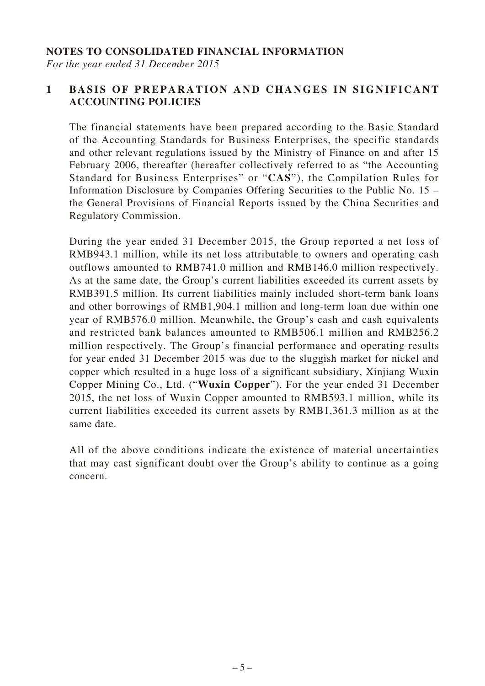#### **NOTES TO CONSOLIDATED FINANCIAL INFORMATION**

*For the year ended 31 December 2015*

### **1 BASIS OF PREPARATION AND CHANGES IN SIGNIFICANT ACCOUNTING POLICIES**

The financial statements have been prepared according to the Basic Standard of the Accounting Standards for Business Enterprises, the specific standards and other relevant regulations issued by the Ministry of Finance on and after 15 February 2006, thereafter (hereafter collectively referred to as "the Accounting Standard for Business Enterprises" or "**CAS**"), the Compilation Rules for Information Disclosure by Companies Offering Securities to the Public No. 15 – the General Provisions of Financial Reports issued by the China Securities and Regulatory Commission.

During the year ended 31 December 2015, the Group reported a net loss of RMB943.1 million, while its net loss attributable to owners and operating cash outflows amounted to RMB741.0 million and RMB146.0 million respectively. As at the same date, the Group's current liabilities exceeded its current assets by RMB391.5 million. Its current liabilities mainly included short-term bank loans and other borrowings of RMB1,904.1 million and long-term loan due within one year of RMB576.0 million. Meanwhile, the Group's cash and cash equivalents and restricted bank balances amounted to RMB506.1 million and RMB256.2 million respectively. The Group's financial performance and operating results for year ended 31 December 2015 was due to the sluggish market for nickel and copper which resulted in a huge loss of a significant subsidiary, Xinjiang Wuxin Copper Mining Co., Ltd. ("**Wuxin Copper**"). For the year ended 31 December 2015, the net loss of Wuxin Copper amounted to RMB593.1 million, while its current liabilities exceeded its current assets by RMB1,361.3 million as at the same date.

All of the above conditions indicate the existence of material uncertainties that may cast significant doubt over the Group's ability to continue as a going concern.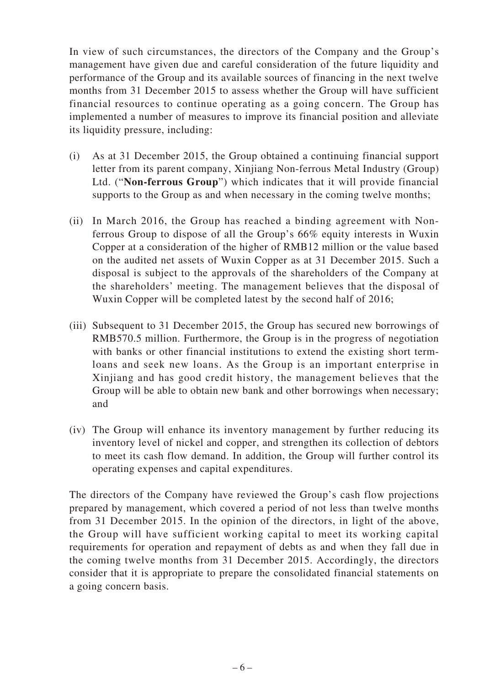In view of such circumstances, the directors of the Company and the Group's management have given due and careful consideration of the future liquidity and performance of the Group and its available sources of financing in the next twelve months from 31 December 2015 to assess whether the Group will have sufficient financial resources to continue operating as a going concern. The Group has implemented a number of measures to improve its financial position and alleviate its liquidity pressure, including:

- (i) As at 31 December 2015, the Group obtained a continuing financial support letter from its parent company, Xinjiang Non-ferrous Metal Industry (Group) Ltd. ("**Non-ferrous Group**") which indicates that it will provide financial supports to the Group as and when necessary in the coming twelve months;
- (ii) In March 2016, the Group has reached a binding agreement with Nonferrous Group to dispose of all the Group's 66% equity interests in Wuxin Copper at a consideration of the higher of RMB12 million or the value based on the audited net assets of Wuxin Copper as at 31 December 2015. Such a disposal is subject to the approvals of the shareholders of the Company at the shareholders' meeting. The management believes that the disposal of Wuxin Copper will be completed latest by the second half of 2016;
- (iii) Subsequent to 31 December 2015, the Group has secured new borrowings of RMB570.5 million. Furthermore, the Group is in the progress of negotiation with banks or other financial institutions to extend the existing short termloans and seek new loans. As the Group is an important enterprise in Xinjiang and has good credit history, the management believes that the Group will be able to obtain new bank and other borrowings when necessary; and
- (iv) The Group will enhance its inventory management by further reducing its inventory level of nickel and copper, and strengthen its collection of debtors to meet its cash flow demand. In addition, the Group will further control its operating expenses and capital expenditures.

The directors of the Company have reviewed the Group's cash flow projections prepared by management, which covered a period of not less than twelve months from 31 December 2015. In the opinion of the directors, in light of the above, the Group will have sufficient working capital to meet its working capital requirements for operation and repayment of debts as and when they fall due in the coming twelve months from 31 December 2015. Accordingly, the directors consider that it is appropriate to prepare the consolidated financial statements on a going concern basis.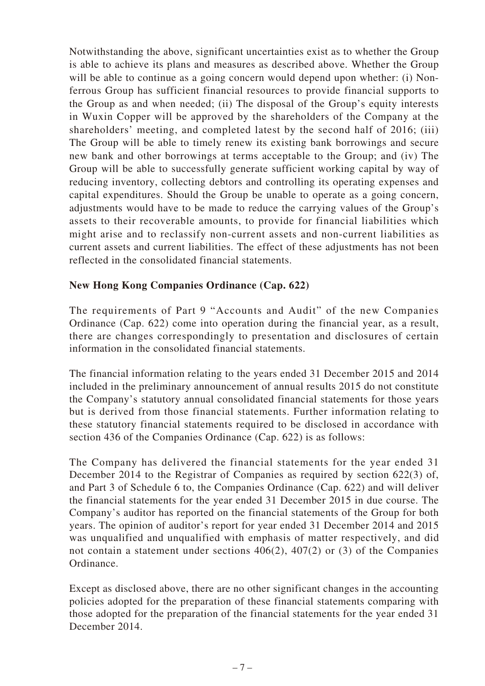Notwithstanding the above, significant uncertainties exist as to whether the Group is able to achieve its plans and measures as described above. Whether the Group will be able to continue as a going concern would depend upon whether: (i) Nonferrous Group has sufficient financial resources to provide financial supports to the Group as and when needed; (ii) The disposal of the Group's equity interests in Wuxin Copper will be approved by the shareholders of the Company at the shareholders' meeting, and completed latest by the second half of 2016; (iii) The Group will be able to timely renew its existing bank borrowings and secure new bank and other borrowings at terms acceptable to the Group; and (iv) The Group will be able to successfully generate sufficient working capital by way of reducing inventory, collecting debtors and controlling its operating expenses and capital expenditures. Should the Group be unable to operate as a going concern, adjustments would have to be made to reduce the carrying values of the Group's assets to their recoverable amounts, to provide for financial liabilities which might arise and to reclassify non-current assets and non-current liabilities as current assets and current liabilities. The effect of these adjustments has not been reflected in the consolidated financial statements.

#### **New Hong Kong Companies Ordinance (Cap. 622)**

The requirements of Part 9 "Accounts and Audit" of the new Companies Ordinance (Cap. 622) come into operation during the financial year, as a result, there are changes correspondingly to presentation and disclosures of certain information in the consolidated financial statements.

The financial information relating to the years ended 31 December 2015 and 2014 included in the preliminary announcement of annual results 2015 do not constitute the Company's statutory annual consolidated financial statements for those years but is derived from those financial statements. Further information relating to these statutory financial statements required to be disclosed in accordance with section 436 of the Companies Ordinance (Cap. 622) is as follows:

The Company has delivered the financial statements for the year ended 31 December 2014 to the Registrar of Companies as required by section 622(3) of, and Part 3 of Schedule 6 to, the Companies Ordinance (Cap. 622) and will deliver the financial statements for the year ended 31 December 2015 in due course. The Company's auditor has reported on the financial statements of the Group for both years. The opinion of auditor's report for year ended 31 December 2014 and 2015 was unqualified and unqualified with emphasis of matter respectively, and did not contain a statement under sections 406(2), 407(2) or (3) of the Companies Ordinance.

Except as disclosed above, there are no other significant changes in the accounting policies adopted for the preparation of these financial statements comparing with those adopted for the preparation of the financial statements for the year ended 31 December 2014.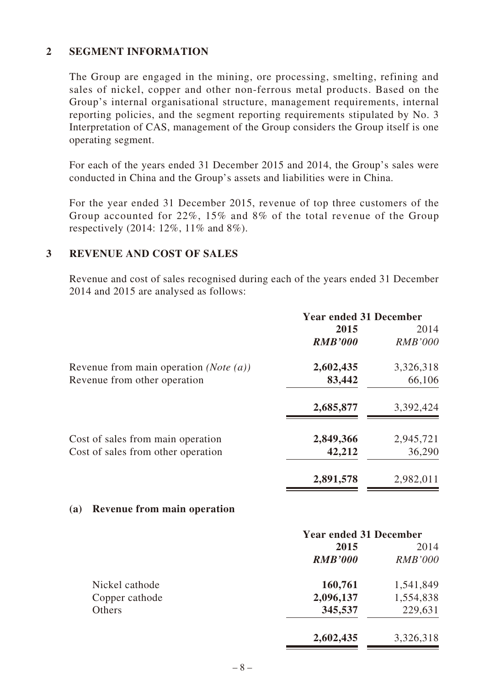#### **2 SEGMENT INFORMATION**

The Group are engaged in the mining, ore processing, smelting, refining and sales of nickel, copper and other non-ferrous metal products. Based on the Group's internal organisational structure, management requirements, internal reporting policies, and the segment reporting requirements stipulated by No. 3 Interpretation of CAS, management of the Group considers the Group itself is one operating segment.

For each of the years ended 31 December 2015 and 2014, the Group's sales were conducted in China and the Group's assets and liabilities were in China.

For the year ended 31 December 2015, revenue of top three customers of the Group accounted for 22%, 15% and 8% of the total revenue of the Group respectively (2014: 12%, 11% and 8%).

#### **3 REVENUE AND COST OF SALES**

Revenue and cost of sales recognised during each of the years ended 31 December 2014 and 2015 are analysed as follows:

|                                                   | <b>Year ended 31 December</b> |                |
|---------------------------------------------------|-------------------------------|----------------|
|                                                   | 2015                          | 2014           |
|                                                   | <b>RMB'000</b>                | <b>RMB'000</b> |
| Revenue from main operation ( <i>Note</i> $(a)$ ) | 2,602,435                     | 3,326,318      |
| Revenue from other operation                      | 83,442                        | 66,106         |
|                                                   | 2,685,877                     | 3,392,424      |
| Cost of sales from main operation                 | 2,849,366                     | 2,945,721      |
| Cost of sales from other operation                | 42,212                        | 36,290         |
|                                                   | 2,891,578                     | 2,982,011      |

#### **(a) Revenue from main operation**

|                |                | <b>Year ended 31 December</b> |  |
|----------------|----------------|-------------------------------|--|
|                | 2015           | 2014                          |  |
|                | <b>RMB'000</b> | <i>RMB'000</i>                |  |
| Nickel cathode | 160,761        | 1,541,849                     |  |
| Copper cathode | 2,096,137      | 1,554,838                     |  |
| Others         | 345,537        | 229,631                       |  |
|                | 2,602,435      | 3,326,318                     |  |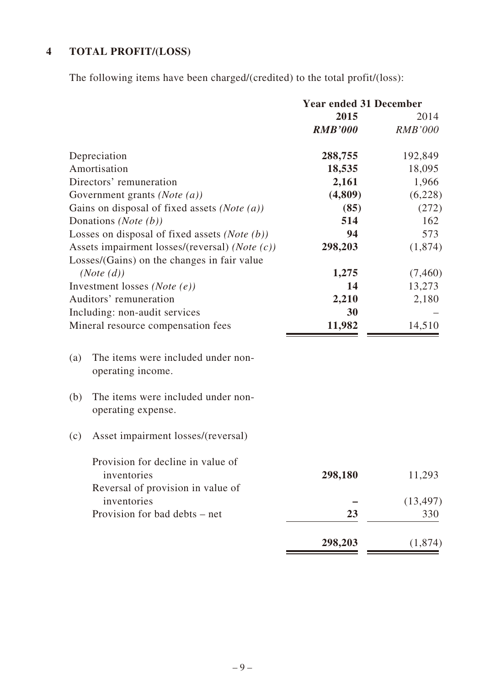# **4 TOTAL PROFIT/(LOSS)**

The following items have been charged/(credited) to the total profit/(loss):

|                                                                 | <b>Year ended 31 December</b> |                |
|-----------------------------------------------------------------|-------------------------------|----------------|
|                                                                 | 2015                          | 2014           |
|                                                                 | <b>RMB'000</b>                | <b>RMB'000</b> |
| Depreciation                                                    | 288,755                       | 192,849        |
| Amortisation                                                    | 18,535                        | 18,095         |
| Directors' remuneration                                         | 2,161                         | 1,966          |
| Government grants (Note $(a)$ )                                 | (4,809)                       | (6,228)        |
| Gains on disposal of fixed assets (Note $(a)$ )                 | (85)                          | (272)          |
| Donations ( <i>Note</i> $(b)$ )                                 | 514                           | 162            |
| Losses on disposal of fixed assets ( <i>Note</i> $(b)$ )        | 94                            | 573            |
| Assets impairment losses/(reversal) (Note (c))                  | 298,203                       | (1,874)        |
| Losses/(Gains) on the changes in fair value                     |                               |                |
| (Note (d))                                                      | 1,275                         | (7,460)        |
| Investment losses ( <i>Note</i> $(e)$ )                         | 14                            | 13,273         |
| Auditors' remuneration                                          | 2,210                         | 2,180          |
| Including: non-audit services                                   | 30                            |                |
| Mineral resource compensation fees                              | 11,982                        | 14,510         |
| The items were included under non-<br>(a)                       |                               |                |
| operating income.                                               |                               |                |
| The items were included under non-<br>(b)<br>operating expense. |                               |                |
| Asset impairment losses/(reversal)<br>(c)                       |                               |                |
| Provision for decline in value of<br>inventories                | 298,180                       | 11,293         |
| Reversal of provision in value of                               |                               |                |
| inventories                                                     |                               | (13, 497)      |
| Provision for bad debts – net                                   | 23                            | 330            |
|                                                                 |                               |                |
|                                                                 | 298,203                       | (1,874)        |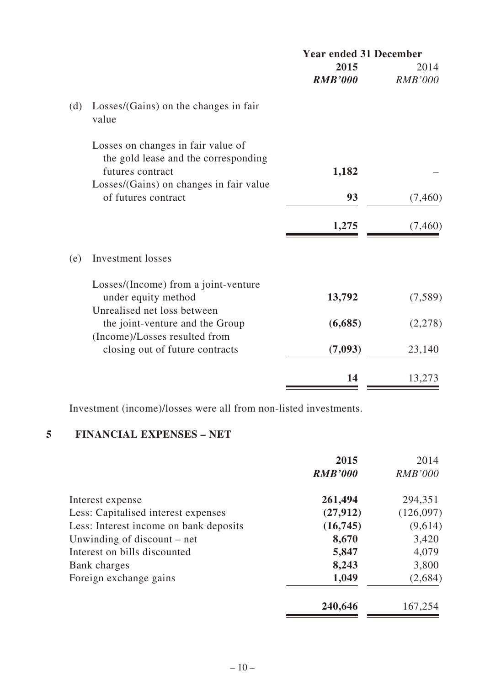|     |                                                                                            | <b>Year ended 31 December</b> |                |
|-----|--------------------------------------------------------------------------------------------|-------------------------------|----------------|
|     |                                                                                            | 2015                          | 2014           |
|     |                                                                                            | <b>RMB'000</b>                | <b>RMB'000</b> |
| (d) | Losses/(Gains) on the changes in fair<br>value                                             |                               |                |
|     | Losses on changes in fair value of<br>the gold lease and the corresponding                 |                               |                |
|     | futures contract                                                                           | 1,182                         |                |
|     | Losses/(Gains) on changes in fair value<br>of futures contract                             | 93                            | (7,460)        |
|     |                                                                                            | 1,275                         | (7,460)        |
| (e) | Investment losses                                                                          |                               |                |
|     | Losses/(Income) from a joint-venture<br>under equity method<br>Unrealised net loss between | 13,792                        | (7,589)        |
|     | the joint-venture and the Group                                                            | (6,685)                       | (2,278)        |
|     | (Income)/Losses resulted from<br>closing out of future contracts                           | (7,093)                       | 23,140         |
|     |                                                                                            | 14                            | 13,273         |

Investment (income)/losses were all from non-listed investments.

# **5 FINANCIAL EXPENSES – NET**

| 2015           | 2014           |
|----------------|----------------|
| <b>RMB'000</b> | <b>RMB'000</b> |
| 261,494        | 294,351        |
| (27, 912)      | (126,097)      |
| (16,745)       | (9,614)        |
| 8,670          | 3,420          |
| 5,847          | 4,079          |
| 8,243          | 3,800          |
| 1,049          | (2,684)        |
| 240,646        | 167,254        |
|                |                |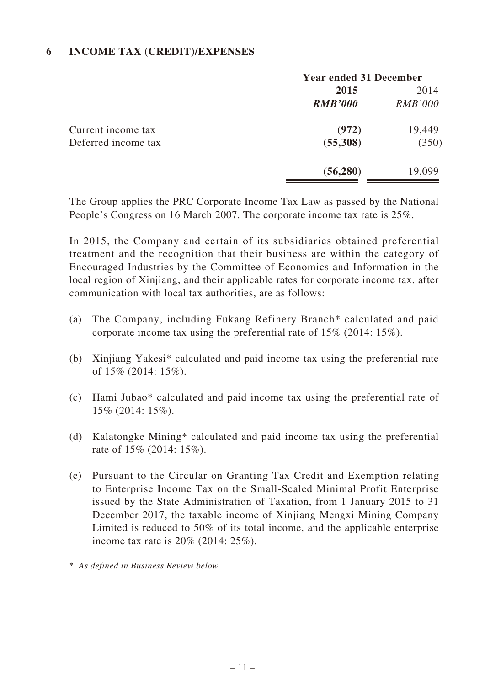#### **6 INCOME TAX (CREDIT)/EXPENSES**

|                     | <b>Year ended 31 December</b> |                |
|---------------------|-------------------------------|----------------|
|                     | 2015                          | 2014           |
|                     | <b>RMB'000</b>                | <i>RMB'000</i> |
| Current income tax  | (972)                         | 19,449         |
| Deferred income tax | (55,308)                      | (350)          |
|                     | (56, 280)                     | 19,099         |
|                     |                               |                |

The Group applies the PRC Corporate Income Tax Law as passed by the National People's Congress on 16 March 2007. The corporate income tax rate is 25%.

In 2015, the Company and certain of its subsidiaries obtained preferential treatment and the recognition that their business are within the category of Encouraged Industries by the Committee of Economics and Information in the local region of Xinjiang, and their applicable rates for corporate income tax, after communication with local tax authorities, are as follows:

- (a) The Company, including Fukang Refinery Branch\* calculated and paid corporate income tax using the preferential rate of 15% (2014: 15%).
- (b) Xinjiang Yakesi\* calculated and paid income tax using the preferential rate of 15% (2014: 15%).
- (c) Hami Jubao\* calculated and paid income tax using the preferential rate of 15% (2014: 15%).
- (d) Kalatongke Mining\* calculated and paid income tax using the preferential rate of 15% (2014: 15%).
- (e) Pursuant to the Circular on Granting Tax Credit and Exemption relating to Enterprise Income Tax on the Small-Scaled Minimal Profit Enterprise issued by the State Administration of Taxation, from 1 January 2015 to 31 December 2017, the taxable income of Xinjiang Mengxi Mining Company Limited is reduced to 50% of its total income, and the applicable enterprise income tax rate is 20% (2014: 25%).

\* *As defined in Business Review below*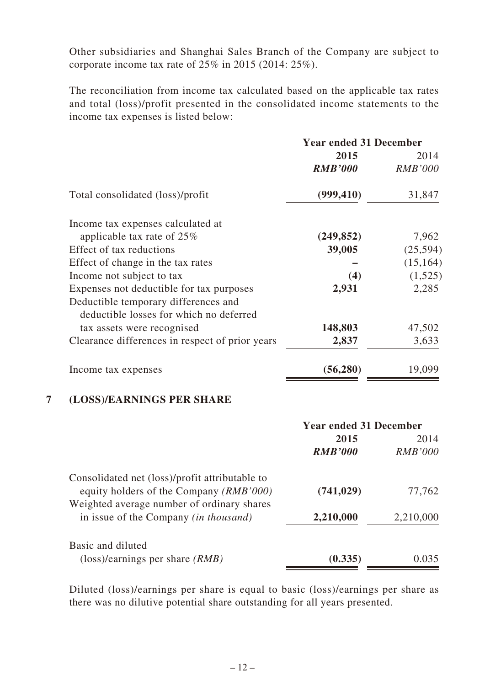Other subsidiaries and Shanghai Sales Branch of the Company are subject to corporate income tax rate of 25% in 2015 (2014: 25%).

The reconciliation from income tax calculated based on the applicable tax rates and total (loss)/profit presented in the consolidated income statements to the income tax expenses is listed below:

|                                                 | <b>Year ended 31 December</b> |                |
|-------------------------------------------------|-------------------------------|----------------|
|                                                 | 2015                          | 2014           |
|                                                 | <b>RMB'000</b>                | <b>RMB'000</b> |
| Total consolidated (loss)/profit                | (999, 410)                    | 31,847         |
| Income tax expenses calculated at               |                               |                |
| applicable tax rate of $25\%$                   | (249, 852)                    | 7,962          |
| Effect of tax reductions                        | 39,005                        | (25,594)       |
| Effect of change in the tax rates               |                               | (15, 164)      |
| Income not subject to tax                       | (4)                           | (1,525)        |
| Expenses not deductible for tax purposes        | 2,931                         | 2,285          |
| Deductible temporary differences and            |                               |                |
| deductible losses for which no deferred         |                               |                |
| tax assets were recognised                      | 148,803                       | 47,502         |
| Clearance differences in respect of prior years | 2,837                         | 3,633          |
| Income tax expenses                             | (56, 280)                     | 19,099         |

#### **7 (LOSS)/EARNINGS PER SHARE**

|                                                | <b>Year ended 31 December</b> |                |
|------------------------------------------------|-------------------------------|----------------|
|                                                | 2015                          | 2014           |
|                                                | <b>RMB'000</b>                | <b>RMB'000</b> |
| Consolidated net (loss)/profit attributable to |                               |                |
| equity holders of the Company (RMB'000)        | (741, 029)                    | 77,762         |
| Weighted average number of ordinary shares     |                               |                |
| in issue of the Company <i>(in thousand)</i>   | 2,210,000                     | 2,210,000      |
| Basic and diluted                              |                               |                |
| $(\text{loss})$ /earnings per share $(RMB)$    | (0.335)                       | 0.035          |

Diluted (loss)/earnings per share is equal to basic (loss)/earnings per share as there was no dilutive potential share outstanding for all years presented.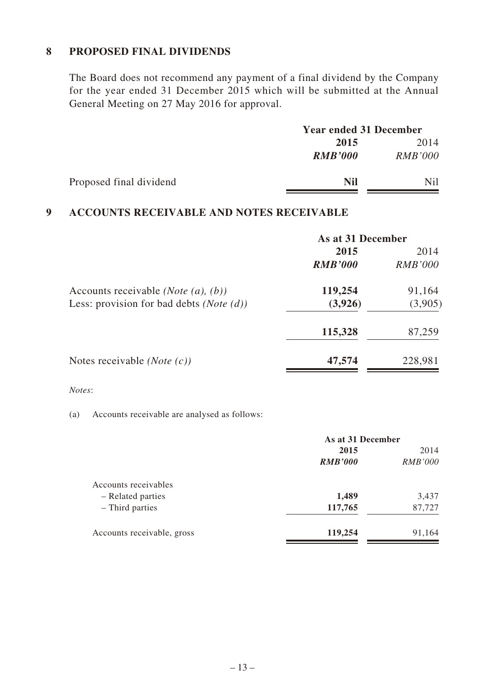#### **8 PROPOSED FINAL DIVIDENDS**

The Board does not recommend any payment of a final dividend by the Company for the year ended 31 December 2015 which will be submitted at the Annual General Meeting on 27 May 2016 for approval.

|                         |                | <b>Year ended 31 December</b> |  |
|-------------------------|----------------|-------------------------------|--|
|                         | 2015           | 2014                          |  |
|                         | <b>RMB'000</b> | RMB'000                       |  |
| Proposed final dividend | <b>Nil</b>     | Nil                           |  |

# **9 ACCOUNTS RECEIVABLE AND NOTES RECEIVABLE**

|                                                     | As at 31 December |                |
|-----------------------------------------------------|-------------------|----------------|
|                                                     | 2015              | 2014           |
|                                                     | <b>RMB'000</b>    | <i>RMB'000</i> |
| Accounts receivable <i>(Note (a), (b))</i>          | 119,254           | 91,164         |
| Less: provision for bad debts ( <i>Note</i> $(d)$ ) | (3,926)           | (3,905)        |
|                                                     | 115,328           | 87,259         |
| Notes receivable <i>(Note <math>(c)</math>)</i>     | 47,574            | 228,981        |

#### *Notes*:

(a) Accounts receivable are analysed as follows:

|                            |                | As at 31 December |  |
|----------------------------|----------------|-------------------|--|
|                            | 2015           | 2014              |  |
|                            | <b>RMB'000</b> | <b>RMB'000</b>    |  |
| Accounts receivables       |                |                   |  |
| - Related parties          | 1,489          | 3,437             |  |
| - Third parties            | 117,765        | 87,727            |  |
| Accounts receivable, gross | 119,254        | 91,164            |  |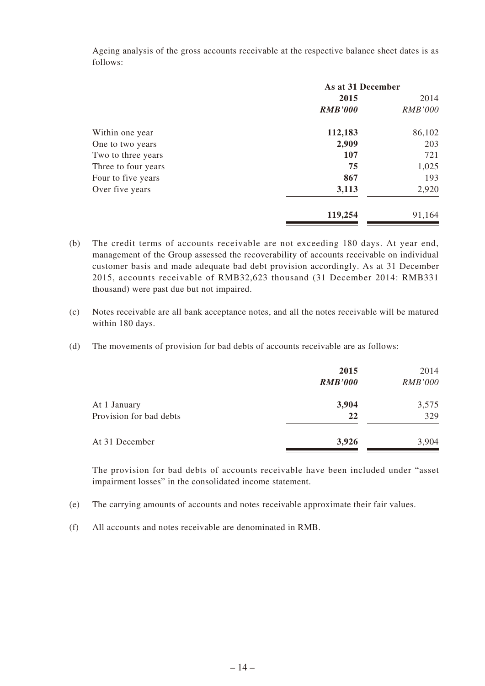Ageing analysis of the gross accounts receivable at the respective balance sheet dates is as follows:

|                     | As at 31 December |                |
|---------------------|-------------------|----------------|
|                     | 2015              |                |
|                     | <b>RMB'000</b>    | <b>RMB'000</b> |
| Within one year     | 112,183           | 86,102         |
| One to two years    | 2,909             | 203            |
| Two to three years  | 107               | 721            |
| Three to four years | 75                | 1,025          |
| Four to five years  | 867               | 193            |
| Over five years     | 3,113             | 2,920          |
|                     | 119,254           | 91,164         |

- (b) The credit terms of accounts receivable are not exceeding 180 days. At year end, management of the Group assessed the recoverability of accounts receivable on individual customer basis and made adequate bad debt provision accordingly. As at 31 December 2015, accounts receivable of RMB32,623 thousand (31 December 2014: RMB331 thousand) were past due but not impaired.
- (c) Notes receivable are all bank acceptance notes, and all the notes receivable will be matured within 180 days.
- (d) The movements of provision for bad debts of accounts receivable are as follows:

|                         | 2015<br><b>RMB'000</b> | 2014<br><b>RMB'000</b> |
|-------------------------|------------------------|------------------------|
| At 1 January            | 3,904                  | 3,575                  |
| Provision for bad debts | 22                     | 329                    |
| At 31 December          | 3,926                  | 3,904                  |

The provision for bad debts of accounts receivable have been included under "asset impairment losses" in the consolidated income statement.

- (e) The carrying amounts of accounts and notes receivable approximate their fair values.
- (f) All accounts and notes receivable are denominated in RMB.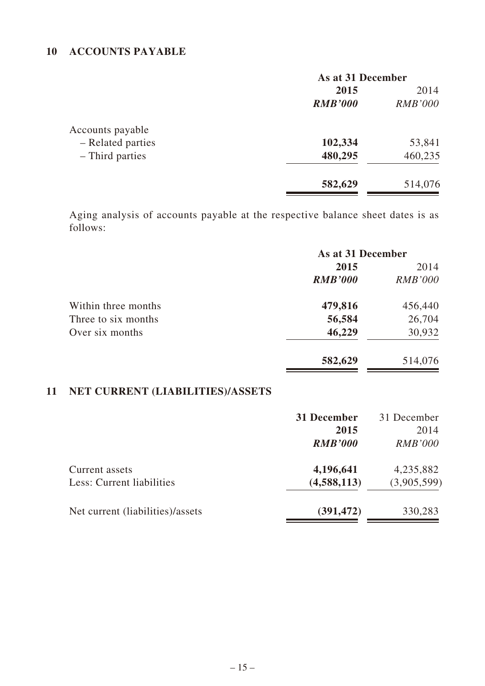# **10 ACCOUNTS PAYABLE**

|                   | As at 31 December |                |
|-------------------|-------------------|----------------|
|                   | 2015              | 2014           |
|                   | <b>RMB'000</b>    | <b>RMB'000</b> |
| Accounts payable  |                   |                |
| - Related parties | 102,334           | 53,841         |
| - Third parties   | 480,295           | 460,235        |
|                   | 582,629           | 514,076        |

Aging analysis of accounts payable at the respective balance sheet dates is as follows:

|                     | As at 31 December |                |
|---------------------|-------------------|----------------|
|                     | 2015              | 2014           |
|                     | <b>RMB'000</b>    | <b>RMB'000</b> |
| Within three months | 479,816           | 456,440        |
| Three to six months | 56,584            | 26,704         |
| Over six months     | 46,229            | 30,932         |
|                     | 582,629           | 514,076        |

# **11 NET CURRENT (LIABILITIES)/ASSETS**

|                                  | 31 December    | 31 December    |
|----------------------------------|----------------|----------------|
|                                  | 2015           | 2014           |
|                                  | <b>RMB'000</b> | <i>RMB'000</i> |
| Current assets                   | 4,196,641      | 4,235,882      |
| Less: Current liabilities        | (4,588,113)    | (3,905,599)    |
| Net current (liabilities)/assets | (391, 472)     | 330,283        |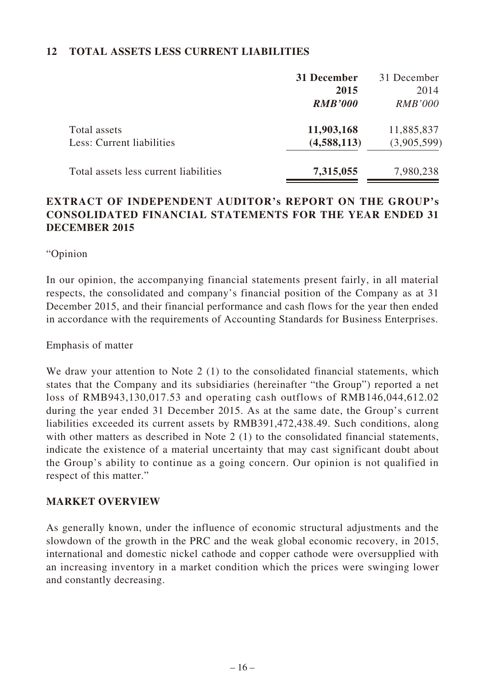#### **12 TOTAL ASSETS LESS CURRENT LIABILITIES**

|                                       | 31 December    | 31 December    |
|---------------------------------------|----------------|----------------|
|                                       | 2015           | 2014           |
|                                       | <b>RMB'000</b> | <i>RMB'000</i> |
| Total assets                          | 11,903,168     | 11,885,837     |
| Less: Current liabilities             | (4,588,113)    | (3,905,599)    |
| Total assets less current liabilities | 7,315,055      | 7,980,238      |

# **EXTRACT OF INDEPENDENT AUDITOR's REPORT ON THE GROUP's CONSOLIDATED FINANCIAL STATEMENTS FOR THE YEAR ENDED 31 DECEMBER 2015**

"Opinion

In our opinion, the accompanying financial statements present fairly, in all material respects, the consolidated and company's financial position of the Company as at 31 December 2015, and their financial performance and cash flows for the year then ended in accordance with the requirements of Accounting Standards for Business Enterprises.

Emphasis of matter

We draw your attention to Note 2 (1) to the consolidated financial statements, which states that the Company and its subsidiaries (hereinafter "the Group") reported a net loss of RMB943,130,017.53 and operating cash outflows of RMB146,044,612.02 during the year ended 31 December 2015. As at the same date, the Group's current liabilities exceeded its current assets by RMB391,472,438.49. Such conditions, along with other matters as described in Note 2 (1) to the consolidated financial statements, indicate the existence of a material uncertainty that may cast significant doubt about the Group's ability to continue as a going concern. Our opinion is not qualified in respect of this matter."

#### **MARKET OVERVIEW**

As generally known, under the influence of economic structural adjustments and the slowdown of the growth in the PRC and the weak global economic recovery, in 2015, international and domestic nickel cathode and copper cathode were oversupplied with an increasing inventory in a market condition which the prices were swinging lower and constantly decreasing.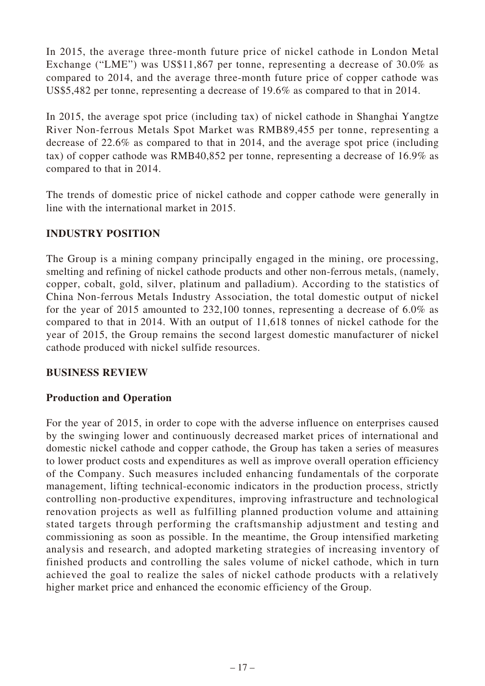In 2015, the average three-month future price of nickel cathode in London Metal Exchange ("LME") was US\$11,867 per tonne, representing a decrease of 30.0% as compared to 2014, and the average three-month future price of copper cathode was US\$5,482 per tonne, representing a decrease of 19.6% as compared to that in 2014.

In 2015, the average spot price (including tax) of nickel cathode in Shanghai Yangtze River Non-ferrous Metals Spot Market was RMB89,455 per tonne, representing a decrease of 22.6% as compared to that in 2014, and the average spot price (including tax) of copper cathode was RMB40,852 per tonne, representing a decrease of 16.9% as compared to that in 2014.

The trends of domestic price of nickel cathode and copper cathode were generally in line with the international market in 2015.

# **INDUSTRY POSITION**

The Group is a mining company principally engaged in the mining, ore processing, smelting and refining of nickel cathode products and other non-ferrous metals, (namely, copper, cobalt, gold, silver, platinum and palladium). According to the statistics of China Non-ferrous Metals Industry Association, the total domestic output of nickel for the year of 2015 amounted to 232,100 tonnes, representing a decrease of 6.0% as compared to that in 2014. With an output of 11,618 tonnes of nickel cathode for the year of 2015, the Group remains the second largest domestic manufacturer of nickel cathode produced with nickel sulfide resources.

# **BUSINESS REVIEW**

# **Production and Operation**

For the year of 2015, in order to cope with the adverse influence on enterprises caused by the swinging lower and continuously decreased market prices of international and domestic nickel cathode and copper cathode, the Group has taken a series of measures to lower product costs and expenditures as well as improve overall operation efficiency of the Company. Such measures included enhancing fundamentals of the corporate management, lifting technical-economic indicators in the production process, strictly controlling non-productive expenditures, improving infrastructure and technological renovation projects as well as fulfilling planned production volume and attaining stated targets through performing the craftsmanship adjustment and testing and commissioning as soon as possible. In the meantime, the Group intensified marketing analysis and research, and adopted marketing strategies of increasing inventory of finished products and controlling the sales volume of nickel cathode, which in turn achieved the goal to realize the sales of nickel cathode products with a relatively higher market price and enhanced the economic efficiency of the Group.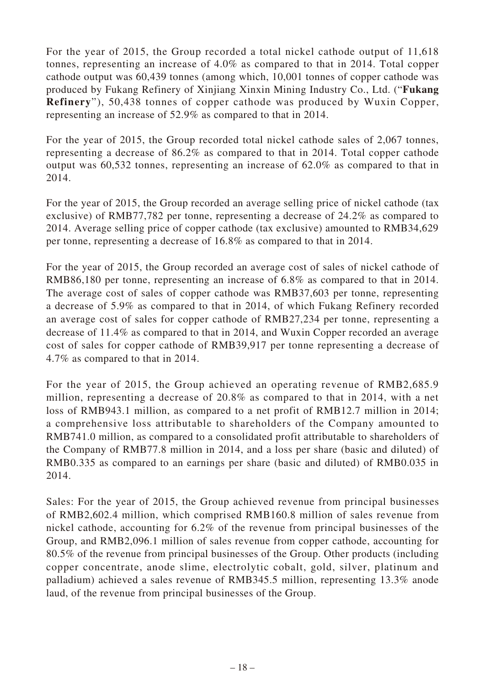For the year of 2015, the Group recorded a total nickel cathode output of 11,618 tonnes, representing an increase of 4.0% as compared to that in 2014. Total copper cathode output was 60,439 tonnes (among which, 10,001 tonnes of copper cathode was produced by Fukang Refinery of Xinjiang Xinxin Mining Industry Co., Ltd. ("**Fukang Refinery**"), 50,438 tonnes of copper cathode was produced by Wuxin Copper, representing an increase of 52.9% as compared to that in 2014.

For the year of 2015, the Group recorded total nickel cathode sales of 2,067 tonnes, representing a decrease of 86.2% as compared to that in 2014. Total copper cathode output was 60,532 tonnes, representing an increase of 62.0% as compared to that in 2014.

For the year of 2015, the Group recorded an average selling price of nickel cathode (tax exclusive) of RMB77,782 per tonne, representing a decrease of 24.2% as compared to 2014. Average selling price of copper cathode (tax exclusive) amounted to RMB34,629 per tonne, representing a decrease of 16.8% as compared to that in 2014.

For the year of 2015, the Group recorded an average cost of sales of nickel cathode of RMB86,180 per tonne, representing an increase of 6.8% as compared to that in 2014. The average cost of sales of copper cathode was RMB37,603 per tonne, representing a decrease of 5.9% as compared to that in 2014, of which Fukang Refinery recorded an average cost of sales for copper cathode of RMB27,234 per tonne, representing a decrease of 11.4% as compared to that in 2014, and Wuxin Copper recorded an average cost of sales for copper cathode of RMB39,917 per tonne representing a decrease of 4.7% as compared to that in 2014.

For the year of 2015, the Group achieved an operating revenue of RMB2,685.9 million, representing a decrease of 20.8% as compared to that in 2014, with a net loss of RMB943.1 million, as compared to a net profit of RMB12.7 million in 2014; a comprehensive loss attributable to shareholders of the Company amounted to RMB741.0 million, as compared to a consolidated profit attributable to shareholders of the Company of RMB77.8 million in 2014, and a loss per share (basic and diluted) of RMB0.335 as compared to an earnings per share (basic and diluted) of RMB0.035 in 2014.

Sales: For the year of 2015, the Group achieved revenue from principal businesses of RMB2,602.4 million, which comprised RMB160.8 million of sales revenue from nickel cathode, accounting for 6.2% of the revenue from principal businesses of the Group, and RMB2,096.1 million of sales revenue from copper cathode, accounting for 80.5% of the revenue from principal businesses of the Group. Other products (including copper concentrate, anode slime, electrolytic cobalt, gold, silver, platinum and palladium) achieved a sales revenue of RMB345.5 million, representing 13.3% anode laud, of the revenue from principal businesses of the Group.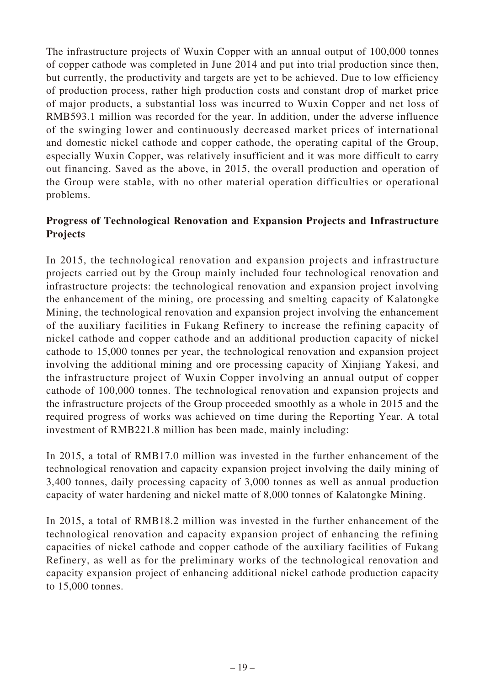The infrastructure projects of Wuxin Copper with an annual output of 100,000 tonnes of copper cathode was completed in June 2014 and put into trial production since then, but currently, the productivity and targets are yet to be achieved. Due to low efficiency of production process, rather high production costs and constant drop of market price of major products, a substantial loss was incurred to Wuxin Copper and net loss of RMB593.1 million was recorded for the year. In addition, under the adverse influence of the swinging lower and continuously decreased market prices of international and domestic nickel cathode and copper cathode, the operating capital of the Group, especially Wuxin Copper, was relatively insufficient and it was more difficult to carry out financing. Saved as the above, in 2015, the overall production and operation of the Group were stable, with no other material operation difficulties or operational problems.

# **Progress of Technological Renovation and Expansion Projects and Infrastructure Projects**

In 2015, the technological renovation and expansion projects and infrastructure projects carried out by the Group mainly included four technological renovation and infrastructure projects: the technological renovation and expansion project involving the enhancement of the mining, ore processing and smelting capacity of Kalatongke Mining, the technological renovation and expansion project involving the enhancement of the auxiliary facilities in Fukang Refinery to increase the refining capacity of nickel cathode and copper cathode and an additional production capacity of nickel cathode to 15,000 tonnes per year, the technological renovation and expansion project involving the additional mining and ore processing capacity of Xinjiang Yakesi, and the infrastructure project of Wuxin Copper involving an annual output of copper cathode of 100,000 tonnes. The technological renovation and expansion projects and the infrastructure projects of the Group proceeded smoothly as a whole in 2015 and the required progress of works was achieved on time during the Reporting Year. A total investment of RMB221.8 million has been made, mainly including:

In 2015, a total of RMB17.0 million was invested in the further enhancement of the technological renovation and capacity expansion project involving the daily mining of 3,400 tonnes, daily processing capacity of 3,000 tonnes as well as annual production capacity of water hardening and nickel matte of 8,000 tonnes of Kalatongke Mining.

In 2015, a total of RMB18.2 million was invested in the further enhancement of the technological renovation and capacity expansion project of enhancing the refining capacities of nickel cathode and copper cathode of the auxiliary facilities of Fukang Refinery, as well as for the preliminary works of the technological renovation and capacity expansion project of enhancing additional nickel cathode production capacity to 15,000 tonnes.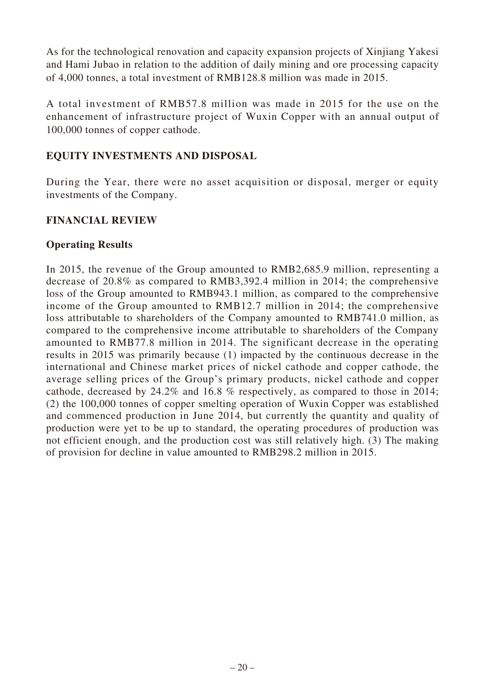As for the technological renovation and capacity expansion projects of Xinjiang Yakesi and Hami Jubao in relation to the addition of daily mining and ore processing capacity of 4,000 tonnes, a total investment of RMB128.8 million was made in 2015.

A total investment of RMB57.8 million was made in 2015 for the use on the enhancement of infrastructure project of Wuxin Copper with an annual output of 100,000 tonnes of copper cathode.

# **EQUITY INVESTMENTS AND DISPOSAL**

During the Year, there were no asset acquisition or disposal, merger or equity investments of the Company.

#### **FINANCIAL REVIEW**

#### **Operating Results**

In 2015, the revenue of the Group amounted to RMB2,685.9 million, representing a decrease of 20.8% as compared to RMB3,392.4 million in 2014; the comprehensive loss of the Group amounted to RMB943.1 million, as compared to the comprehensive income of the Group amounted to RMB12.7 million in 2014; the comprehensive loss attributable to shareholders of the Company amounted to RMB741.0 million, as compared to the comprehensive income attributable to shareholders of the Company amounted to RMB77.8 million in 2014. The significant decrease in the operating results in 2015 was primarily because (1) impacted by the continuous decrease in the international and Chinese market prices of nickel cathode and copper cathode, the average selling prices of the Group's primary products, nickel cathode and copper cathode, decreased by 24.2% and 16.8 % respectively, as compared to those in 2014; (2) the 100,000 tonnes of copper smelting operation of Wuxin Copper was established and commenced production in June 2014, but currently the quantity and quality of production were yet to be up to standard, the operating procedures of production was not efficient enough, and the production cost was still relatively high. (3) The making of provision for decline in value amounted to RMB298.2 million in 2015.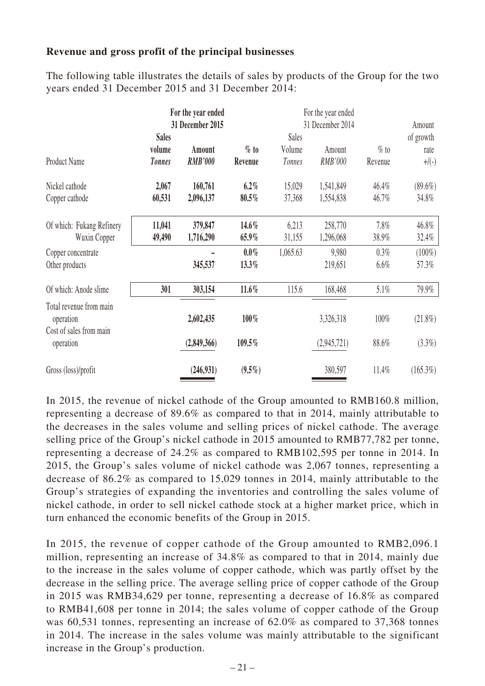#### **Revenue and gross profit of the principal businesses**

The following table illustrates the details of sales by products of the Group for the two years ended 31 December 2015 and 31 December 2014:

|                                      |               | For the year ended<br>31 December 2015 |           |          | For the year ended<br>31 December 2014 |         | Amount      |
|--------------------------------------|---------------|----------------------------------------|-----------|----------|----------------------------------------|---------|-------------|
|                                      | <b>Sales</b>  |                                        |           | Sales    |                                        |         | of growth   |
|                                      | volume        | Amount                                 | $\%$ to   | Volume   | Amount                                 | $%$ to  | rate        |
| Product Name                         | <b>Tonnes</b> | <b>RMB'000</b>                         | Revenue   | Tonnes   | RMB'000                                | Revenue | $+$ /(-)    |
| Nickel cathode                       | 2,067         | 160,761                                | $6.2\%$   | 15,029   | 1,541,849                              | 46.4%   | $(89.6\%)$  |
| Copper cathode                       | 60,531        | 2,096,137                              | 80.5%     | 37,368   | 1,554,838                              | 46.7%   | 34.8%       |
| Of which: Fukang Refinery            | 11,041        | 379,847                                | 14.6%     | 6,213    | 258,770                                | 7.8%    | 46.8%       |
| Wuxin Copper                         | 49,490        | 1,716,290                              | 65.9%     | 31,155   | 1,296,068                              | 38.9%   | 32.4%       |
| Copper concentrate                   |               |                                        | $0.0\%$   | 1,065.63 | 9,980                                  | 0.3%    | $(100\%)$   |
| Other products                       |               | 345,537                                | 13.3%     |          | 219,651                                | 6.6%    | 57.3%       |
| Of which: Anode slime                | 301           | 303,154                                | $11.6\%$  | 115.6    | 168,468                                | $5.1\%$ | 79.9%       |
| Total revenue from main<br>operation |               | 2,602,435                              | 100%      |          | 3,326,318                              | 100%    | $(21.8\%)$  |
| Cost of sales from main<br>operation |               | (2,849,366)                            | 109.5%    |          | (2,945,721)                            | 88.6%   | $(3.3\%)$   |
| Gross (loss)/profit                  |               | (246,931)                              | $(9.5\%)$ |          | 380,597                                | 11.4%   | $(165.3\%)$ |

In 2015, the revenue of nickel cathode of the Group amounted to RMB160.8 million, representing a decrease of 89.6% as compared to that in 2014, mainly attributable to the decreases in the sales volume and selling prices of nickel cathode. The average selling price of the Group's nickel cathode in 2015 amounted to RMB77,782 per tonne, representing a decrease of 24.2% as compared to RMB102,595 per tonne in 2014. In 2015, the Group's sales volume of nickel cathode was 2,067 tonnes, representing a decrease of 86.2% as compared to 15,029 tonnes in 2014, mainly attributable to the Group's strategies of expanding the inventories and controlling the sales volume of nickel cathode, in order to sell nickel cathode stock at a higher market price, which in turn enhanced the economic benefits of the Group in 2015.

In 2015, the revenue of copper cathode of the Group amounted to RMB2,096.1 million, representing an increase of 34.8% as compared to that in 2014, mainly due to the increase in the sales volume of copper cathode, which was partly offset by the decrease in the selling price. The average selling price of copper cathode of the Group in 2015 was RMB34,629 per tonne, representing a decrease of 16.8% as compared to RMB41,608 per tonne in 2014; the sales volume of copper cathode of the Group was 60,531 tonnes, representing an increase of 62.0% as compared to 37,368 tonnes in 2014. The increase in the sales volume was mainly attributable to the significant increase in the Group's production.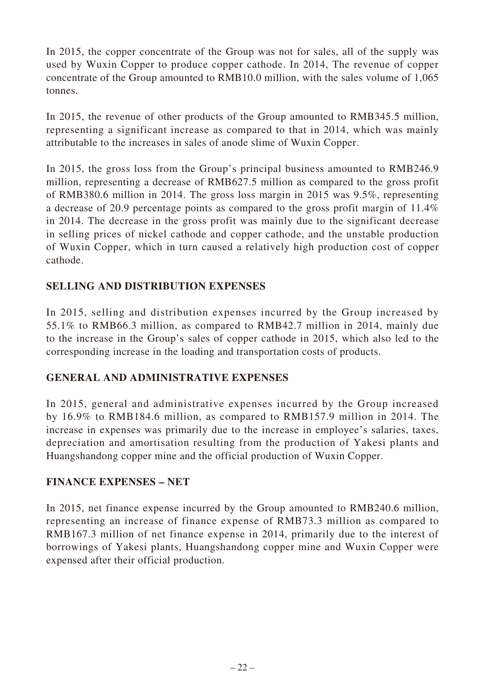In 2015, the copper concentrate of the Group was not for sales, all of the supply was used by Wuxin Copper to produce copper cathode. In 2014, The revenue of copper concentrate of the Group amounted to RMB10.0 million, with the sales volume of 1,065 tonnes.

In 2015, the revenue of other products of the Group amounted to RMB345.5 million, representing a significant increase as compared to that in 2014, which was mainly attributable to the increases in sales of anode slime of Wuxin Copper.

In 2015, the gross loss from the Group's principal business amounted to RMB246.9 million, representing a decrease of RMB627.5 million as compared to the gross profit of RMB380.6 million in 2014. The gross loss margin in 2015 was 9.5%, representing a decrease of 20.9 percentage points as compared to the gross profit margin of 11.4% in 2014. The decrease in the gross profit was mainly due to the significant decrease in selling prices of nickel cathode and copper cathode, and the unstable production of Wuxin Copper, which in turn caused a relatively high production cost of copper cathode.

# **SELLING AND DISTRIBUTION EXPENSES**

In 2015, selling and distribution expenses incurred by the Group increased by 55.1% to RMB66.3 million, as compared to RMB42.7 million in 2014, mainly due to the increase in the Group's sales of copper cathode in 2015, which also led to the corresponding increase in the loading and transportation costs of products.

# **GENERAL AND ADMINISTRATIVE EXPENSES**

In 2015, general and administrative expenses incurred by the Group increased by 16.9% to RMB184.6 million, as compared to RMB157.9 million in 2014. The increase in expenses was primarily due to the increase in employee's salaries, taxes, depreciation and amortisation resulting from the production of Yakesi plants and Huangshandong copper mine and the official production of Wuxin Copper.

# **FINANCE EXPENSES – NET**

In 2015, net finance expense incurred by the Group amounted to RMB240.6 million, representing an increase of finance expense of RMB73.3 million as compared to RMB167.3 million of net finance expense in 2014, primarily due to the interest of borrowings of Yakesi plants, Huangshandong copper mine and Wuxin Copper were expensed after their official production.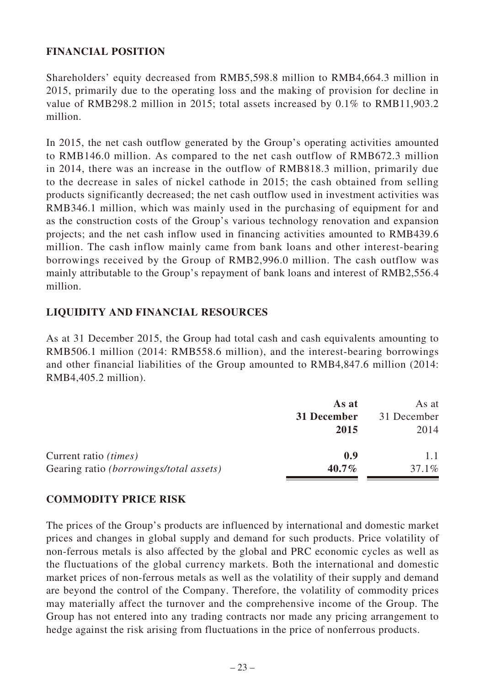# **FINANCIAL POSITION**

Shareholders' equity decreased from RMB5,598.8 million to RMB4,664.3 million in 2015, primarily due to the operating loss and the making of provision for decline in value of RMB298.2 million in 2015; total assets increased by 0.1% to RMB11,903.2 million.

In 2015, the net cash outflow generated by the Group's operating activities amounted to RMB146.0 million. As compared to the net cash outflow of RMB672.3 million in 2014, there was an increase in the outflow of RMB818.3 million, primarily due to the decrease in sales of nickel cathode in 2015; the cash obtained from selling products significantly decreased; the net cash outflow used in investment activities was RMB346.1 million, which was mainly used in the purchasing of equipment for and as the construction costs of the Group's various technology renovation and expansion projects; and the net cash inflow used in financing activities amounted to RMB439.6 million. The cash inflow mainly came from bank loans and other interest-bearing borrowings received by the Group of RMB2,996.0 million. The cash outflow was mainly attributable to the Group's repayment of bank loans and interest of RMB2,556.4 million.

# **LIQUIDITY AND FINANCIAL RESOURCES**

As at 31 December 2015, the Group had total cash and cash equivalents amounting to RMB506.1 million (2014: RMB558.6 million), and the interest-bearing borrowings and other financial liabilities of the Group amounted to RMB4,847.6 million (2014: RMB4,405.2 million).

|                                                | As at       | As at       |
|------------------------------------------------|-------------|-------------|
|                                                | 31 December | 31 December |
|                                                | 2015        | 2014        |
| Current ratio <i>(times)</i>                   | 0.9         |             |
| Gearing ratio <i>(borrowings/total assets)</i> | $40.7\%$    | $37.1\%$    |

# **COMMODITY PRICE RISK**

The prices of the Group's products are influenced by international and domestic market prices and changes in global supply and demand for such products. Price volatility of non-ferrous metals is also affected by the global and PRC economic cycles as well as the fluctuations of the global currency markets. Both the international and domestic market prices of non-ferrous metals as well as the volatility of their supply and demand are beyond the control of the Company. Therefore, the volatility of commodity prices may materially affect the turnover and the comprehensive income of the Group. The Group has not entered into any trading contracts nor made any pricing arrangement to hedge against the risk arising from fluctuations in the price of nonferrous products.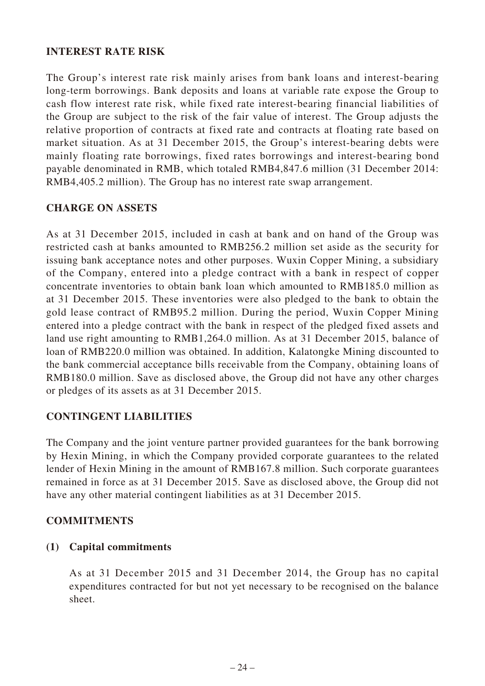### **INTEREST RATE RISK**

The Group's interest rate risk mainly arises from bank loans and interest-bearing long-term borrowings. Bank deposits and loans at variable rate expose the Group to cash flow interest rate risk, while fixed rate interest-bearing financial liabilities of the Group are subject to the risk of the fair value of interest. The Group adjusts the relative proportion of contracts at fixed rate and contracts at floating rate based on market situation. As at 31 December 2015, the Group's interest-bearing debts were mainly floating rate borrowings, fixed rates borrowings and interest-bearing bond payable denominated in RMB, which totaled RMB4,847.6 million (31 December 2014: RMB4,405.2 million). The Group has no interest rate swap arrangement.

#### **CHARGE ON ASSETS**

As at 31 December 2015, included in cash at bank and on hand of the Group was restricted cash at banks amounted to RMB256.2 million set aside as the security for issuing bank acceptance notes and other purposes. Wuxin Copper Mining, a subsidiary of the Company, entered into a pledge contract with a bank in respect of copper concentrate inventories to obtain bank loan which amounted to RMB185.0 million as at 31 December 2015. These inventories were also pledged to the bank to obtain the gold lease contract of RMB95.2 million. During the period, Wuxin Copper Mining entered into a pledge contract with the bank in respect of the pledged fixed assets and land use right amounting to RMB1,264.0 million. As at 31 December 2015, balance of loan of RMB220.0 million was obtained. In addition, Kalatongke Mining discounted to the bank commercial acceptance bills receivable from the Company, obtaining loans of RMB180.0 million. Save as disclosed above, the Group did not have any other charges or pledges of its assets as at 31 December 2015.

#### **CONTINGENT LIABILITIES**

The Company and the joint venture partner provided guarantees for the bank borrowing by Hexin Mining, in which the Company provided corporate guarantees to the related lender of Hexin Mining in the amount of RMB167.8 million. Such corporate guarantees remained in force as at 31 December 2015. Save as disclosed above, the Group did not have any other material contingent liabilities as at 31 December 2015.

#### **COMMITMENTS**

#### **(1) Capital commitments**

As at 31 December 2015 and 31 December 2014, the Group has no capital expenditures contracted for but not yet necessary to be recognised on the balance sheet.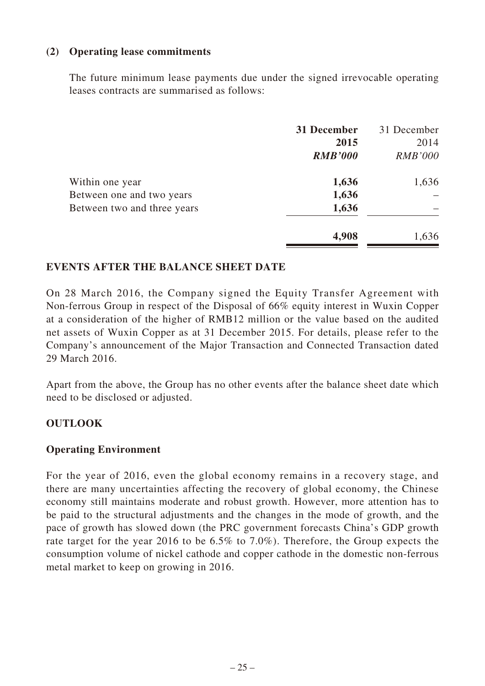#### **(2) Operating lease commitments**

The future minimum lease payments due under the signed irrevocable operating leases contracts are summarised as follows:

|                             | 31 December<br>2015<br><b>RMB'000</b> | 31 December<br>2014<br><b>RMB'000</b> |
|-----------------------------|---------------------------------------|---------------------------------------|
| Within one year             | 1,636                                 | 1,636                                 |
| Between one and two years   | 1,636                                 |                                       |
| Between two and three years | 1,636                                 |                                       |
|                             | 4,908                                 | 1,636                                 |

#### **EVENTS AFTER THE BALANCE SHEET DATE**

On 28 March 2016, the Company signed the Equity Transfer Agreement with Non-ferrous Group in respect of the Disposal of 66% equity interest in Wuxin Copper at a consideration of the higher of RMB12 million or the value based on the audited net assets of Wuxin Copper as at 31 December 2015. For details, please refer to the Company's announcement of the Major Transaction and Connected Transaction dated 29 March 2016.

Apart from the above, the Group has no other events after the balance sheet date which need to be disclosed or adjusted.

#### **OUTLOOK**

#### **Operating Environment**

For the year of 2016, even the global economy remains in a recovery stage, and there are many uncertainties affecting the recovery of global economy, the Chinese economy still maintains moderate and robust growth. However, more attention has to be paid to the structural adjustments and the changes in the mode of growth, and the pace of growth has slowed down (the PRC government forecasts China's GDP growth rate target for the year 2016 to be 6.5% to 7.0%). Therefore, the Group expects the consumption volume of nickel cathode and copper cathode in the domestic non-ferrous metal market to keep on growing in 2016.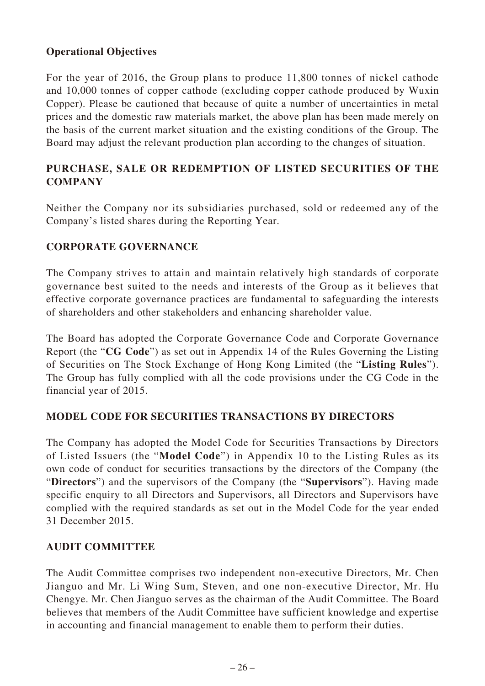# **Operational Objectives**

For the year of 2016, the Group plans to produce 11,800 tonnes of nickel cathode and 10,000 tonnes of copper cathode (excluding copper cathode produced by Wuxin Copper). Please be cautioned that because of quite a number of uncertainties in metal prices and the domestic raw materials market, the above plan has been made merely on the basis of the current market situation and the existing conditions of the Group. The Board may adjust the relevant production plan according to the changes of situation.

# **PURCHASE, SALE OR REDEMPTION OF LISTED SECURITIES OF THE COMPANY**

Neither the Company nor its subsidiaries purchased, sold or redeemed any of the Company's listed shares during the Reporting Year.

# **CORPORATE GOVERNANCE**

The Company strives to attain and maintain relatively high standards of corporate governance best suited to the needs and interests of the Group as it believes that effective corporate governance practices are fundamental to safeguarding the interests of shareholders and other stakeholders and enhancing shareholder value.

The Board has adopted the Corporate Governance Code and Corporate Governance Report (the "**CG Code**") as set out in Appendix 14 of the Rules Governing the Listing of Securities on The Stock Exchange of Hong Kong Limited (the "**Listing Rules**"). The Group has fully complied with all the code provisions under the CG Code in the financial year of 2015.

# **MODEL CODE FOR SECURITIES TRANSACTIONS BY DIRECTORS**

The Company has adopted the Model Code for Securities Transactions by Directors of Listed Issuers (the "**Model Code**") in Appendix 10 to the Listing Rules as its own code of conduct for securities transactions by the directors of the Company (the "**Directors**") and the supervisors of the Company (the "**Supervisors**"). Having made specific enquiry to all Directors and Supervisors, all Directors and Supervisors have complied with the required standards as set out in the Model Code for the year ended 31 December 2015.

#### **AUDIT COMMITTEE**

The Audit Committee comprises two independent non-executive Directors, Mr. Chen Jianguo and Mr. Li Wing Sum, Steven, and one non-executive Director, Mr. Hu Chengye. Mr. Chen Jianguo serves as the chairman of the Audit Committee. The Board believes that members of the Audit Committee have sufficient knowledge and expertise in accounting and financial management to enable them to perform their duties.